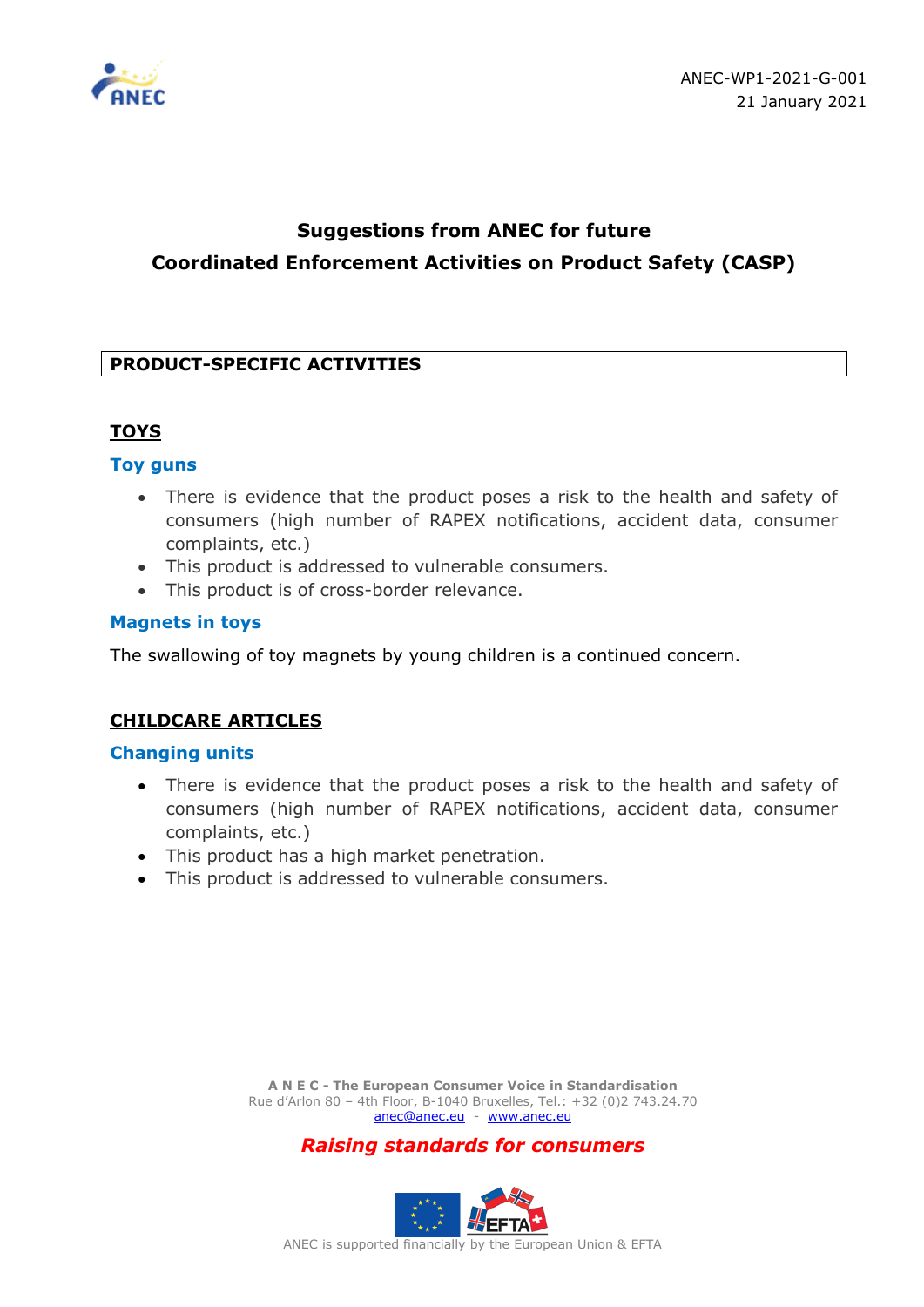

# **Suggestions from ANEC for future Coordinated Enforcement Activities on Product Safety (CASP)**

# **PRODUCT-SPECIFIC ACTIVITIES**

# **TOYS**

### **Toy guns**

- There is evidence that the product poses a risk to the health and safety of consumers (high number of RAPEX notifications, accident data, consumer complaints, etc.)
- This product is addressed to vulnerable consumers.
- This product is of cross-border relevance.

### **Magnets in toys**

The swallowing of toy magnets by young children is a continued concern.

# **CHILDCARE ARTICLES**

#### **Changing units**

- There is evidence that the product poses a risk to the health and safety of consumers (high number of RAPEX notifications, accident data, consumer complaints, etc.)
- This product has a high market penetration.
- This product is addressed to vulnerable consumers.

**A N E C - The European Consumer Voice in Standardisation** Rue d'Arlon 80 – 4th Floor, B-1040 Bruxelles, Tel.: +32 (0)2 743.24.70 [anec@anec.eu](mailto:anec@anec.eu) - [www.anec.eu](http://www.anec.eu/)

*Raising standards for consumers*

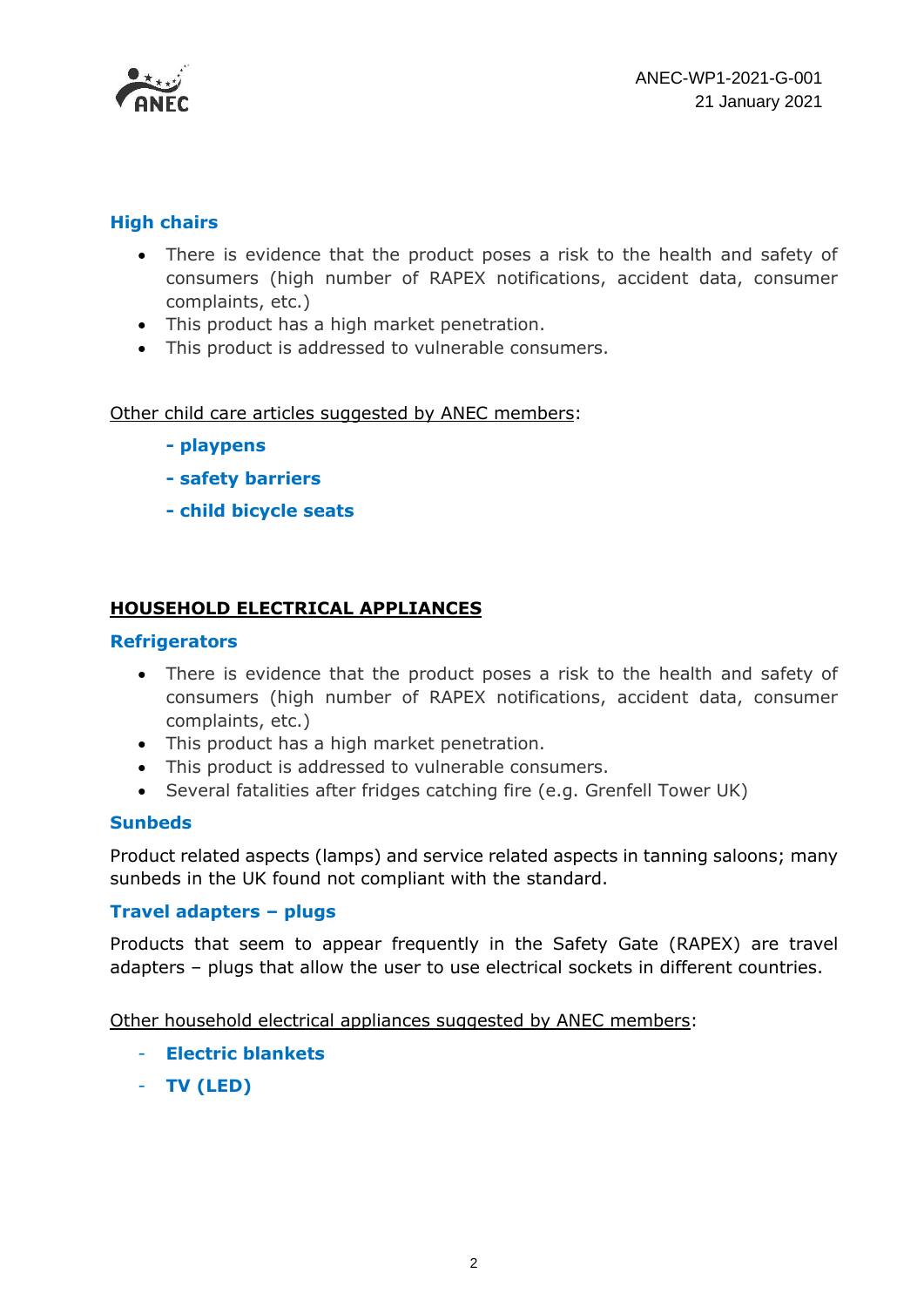

# **High chairs**

- There is evidence that the product poses a risk to the health and safety of consumers (high number of RAPEX notifications, accident data, consumer complaints, etc.)
- This product has a high market penetration.
- This product is addressed to vulnerable consumers.

Other child care articles suggested by ANEC members:

- **- playpens**
- **- safety barriers**
- **- child bicycle seats**

# **HOUSEHOLD ELECTRICAL APPLIANCES**

#### **Refrigerators**

- There is evidence that the product poses a risk to the health and safety of consumers (high number of RAPEX notifications, accident data, consumer complaints, etc.)
- This product has a high market penetration.
- This product is addressed to vulnerable consumers.
- Several fatalities after fridges catching fire (e.g. Grenfell Tower UK)

#### **Sunbeds**

Product related aspects (lamps) and service related aspects in tanning saloons; many sunbeds in the UK found not compliant with the standard.

# **Travel adapters – plugs**

Products that seem to appear frequently in the Safety Gate (RAPEX) are travel adapters – plugs that allow the user to use electrical sockets in different countries.

Other household electrical appliances suggested by ANEC members:

- **Electric blankets**
- **TV (LED)**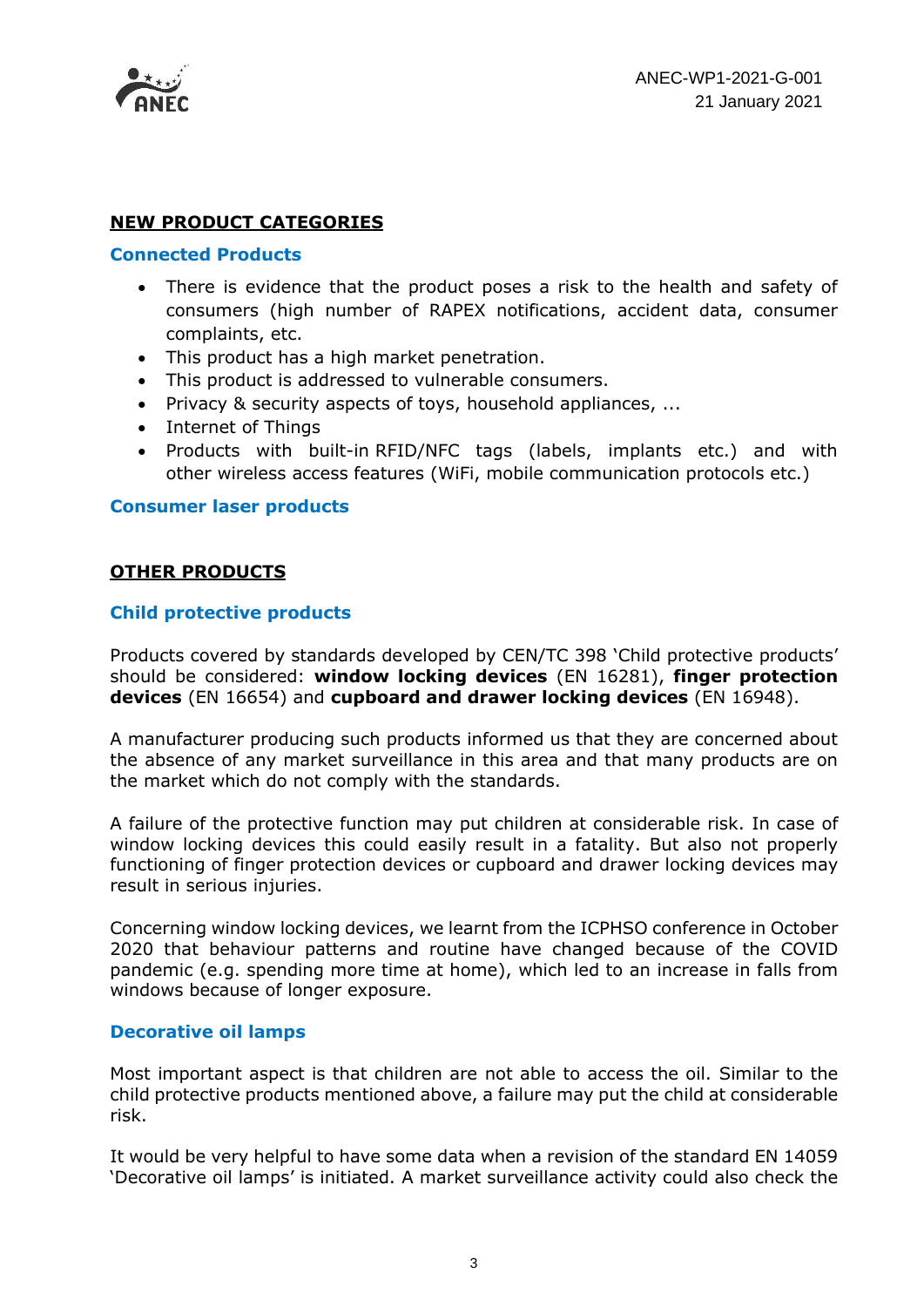

# **NEW PRODUCT CATEGORIES**

#### **Connected Products**

- There is evidence that the product poses a risk to the health and safety of consumers (high number of RAPEX notifications, accident data, consumer complaints, etc.
- This product has a high market penetration.
- This product is addressed to vulnerable consumers.
- Privacy & security aspects of toys, household appliances, ...
- Internet of Things
- Products with built-in RFID/NFC tags (labels, implants etc.) and with other wireless access features (WiFi, mobile communication protocols etc.)

#### **Consumer laser products**

### **OTHER PRODUCTS**

### **Child protective products**

Products covered by standards developed by CEN/TC 398 'Child protective products' should be considered: **window locking devices** (EN 16281), **finger protection devices** (EN 16654) and **cupboard and drawer locking devices** (EN 16948).

A manufacturer producing such products informed us that they are concerned about the absence of any market surveillance in this area and that many products are on the market which do not comply with the standards.

A failure of the protective function may put children at considerable risk. In case of window locking devices this could easily result in a fatality. But also not properly functioning of finger protection devices or cupboard and drawer locking devices may result in serious injuries.

Concerning window locking devices, we learnt from the ICPHSO conference in October 2020 that behaviour patterns and routine have changed because of the COVID pandemic (e.g. spending more time at home), which led to an increase in falls from windows because of longer exposure.

#### **Decorative oil lamps**

Most important aspect is that children are not able to access the oil. Similar to the child protective products mentioned above, a failure may put the child at considerable risk.

It would be very helpful to have some data when a revision of the standard EN 14059 'Decorative oil lamps' is initiated. A market surveillance activity could also check the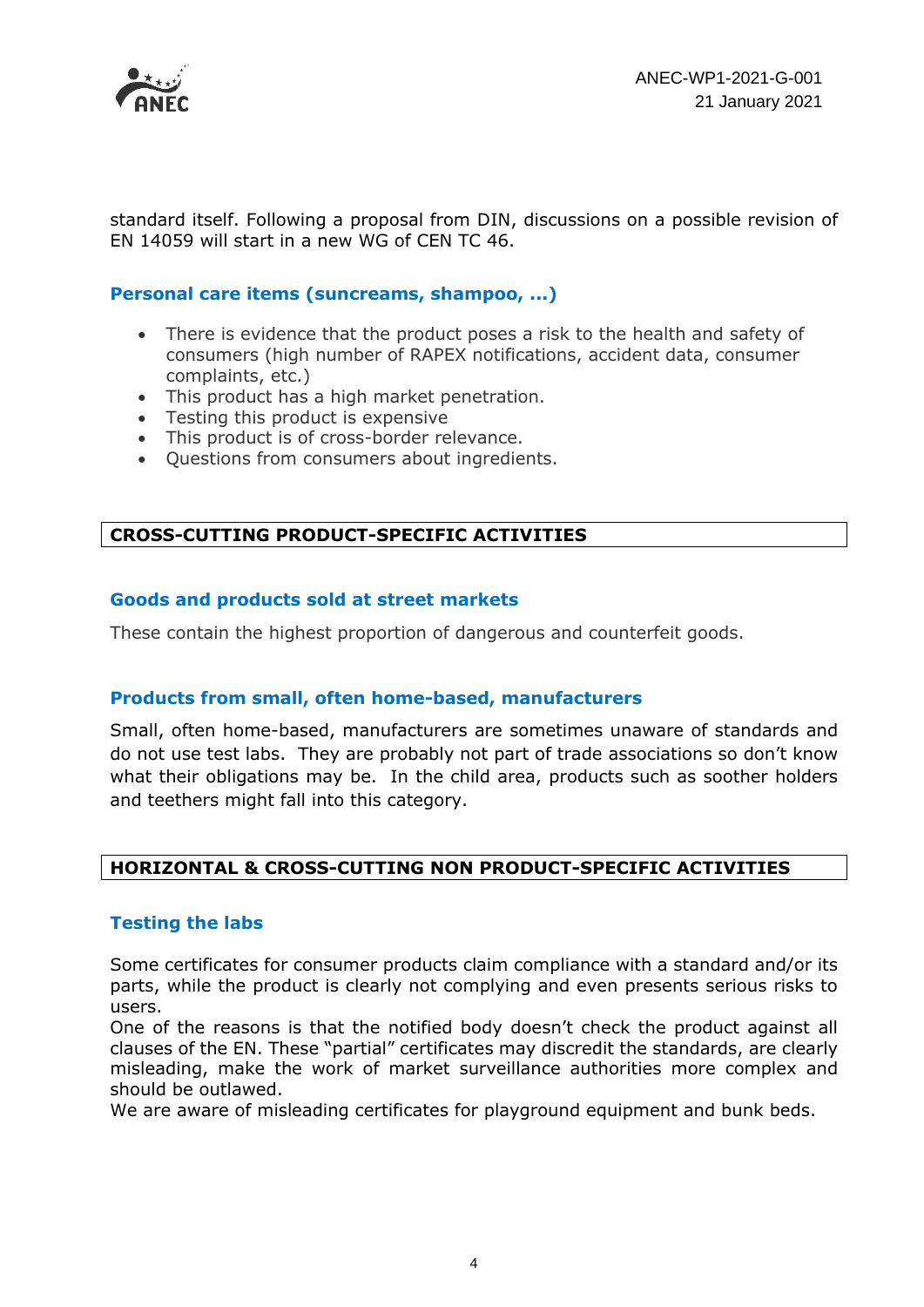

standard itself. Following a proposal from DIN, discussions on a possible revision of EN 14059 will start in a new WG of CEN TC 46.

#### **Personal care items (suncreams, shampoo, ...)**

- There is evidence that the product poses a risk to the health and safety of consumers (high number of RAPEX notifications, accident data, consumer complaints, etc.)
- This product has a high market penetration.
- Testing this product is expensive
- This product is of cross-border relevance.
- Questions from consumers about ingredients.

# **CROSS-CUTTING PRODUCT-SPECIFIC ACTIVITIES**

#### **Goods and products sold at street markets**

These contain the highest proportion of dangerous and counterfeit goods.

# **Products from small, often home-based, manufacturers**

Small, often home-based, manufacturers are sometimes unaware of standards and do not use test labs. They are probably not part of trade associations so don't know what their obligations may be. In the child area, products such as soother holders and teethers might fall into this category.

# **HORIZONTAL & CROSS-CUTTING NON PRODUCT-SPECIFIC ACTIVITIES**

#### **Testing the labs**

Some certificates for consumer products claim compliance with a standard and/or its parts, while the product is clearly not complying and even presents serious risks to users.

One of the reasons is that the notified body doesn't check the product against all clauses of the EN. These "partial" certificates may discredit the standards, are clearly misleading, make the work of market surveillance authorities more complex and should be outlawed.

We are aware of misleading certificates for playground equipment and bunk beds.